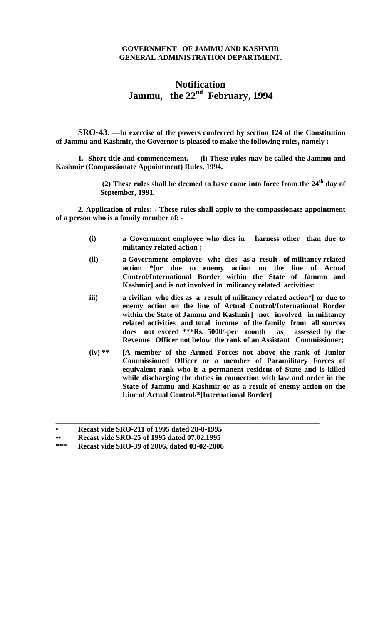## **GOVERNMENT OF JAMMU AND KASHMIR GENERAL ADMINISTRATION DEPARTMENT.**

## **Notification Jammu, the 22nd February, 1994**

**SRO-43. —In exercise of the powers conferred by section 124 of the Constitution of Jammu and Kashmir, the Governor is pleased to make the following rules, namely :-** 

**1. Short title and commencement. — (l) These rules may be called the Jammu and Kashmir (Compassionate Appointment) Rules, 1994.** 

> **(2) These rules shall be deemed to have come into force from the 24th day of September, 1991.**

**2. Application of rules: - These rules shall apply to the compassionate appointment of a person who is a family member of: -** 

- **(i) a Government employee who dies in harness other than due to militancy related action ;**
- **(ii) a Government employee who dies as a result of militancy related action \*[or due to enemy action on the line of Actual Control/International Border within the State of Jammu and Kashmir] and is not involved in militancy related activities:**
- **iii) a civilian who dies as a result of militancy related action\*[ or due to enemy action on the line of Actual Control/International Border within the State of Jammu and Kashmir] not involved in militancy related activities and total income of the family from all sources does not exceed \*\*\*Rs. 5000/-per month as assessed by the Revenue Officer not below the rank of an Assistant Commissioner;**
- **(iv) \*\* [A member of the Armed Forces not above the rank of Junior Commissioned Officer or a member of Paramilitary Forces of equivalent rank who is a permanent resident of State and is killed while discharging the duties in connection with law and order in the State of Jammu and Kashmir or as a result of enemy action on the Line of Actual Control/\*[International Border]**

\_\_\_\_\_\_\_\_\_\_\_\_\_\_\_\_\_\_\_\_\_\_\_\_\_\_\_\_\_\_\_\_\_\_\_\_\_\_\_\_\_\_\_\_\_\_\_\_\_\_\_\_\_\_\_\_\_\_\_\_\_\_\_\_\_\_\_\_\_\_\_

**<sup>•</sup> Recast vide SRO-211 of 1995 dated 28-8-1995** 

**<sup>••</sup> Recast vide SRO-25 of 1995 dated 07.02.1995**<br>\*\*\* Recast vide SRO-39 of 2006 dated 03-02-2006

**<sup>\*\*\*</sup> Recast vide SRO-39 of 2006, dated 03-02-2006**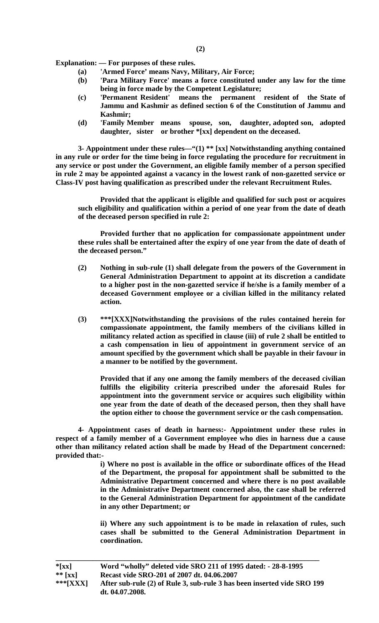**Explanation: — For purposes of these rules.** 

- **(a) 'Armed Force' means Navy, Military, Air Force;**
- **(b) 'Para Military Force' means a force constituted under any law for the time being in force made by the Competent Legislature;**
- **(c) 'Permanent Resident' means the permanent resident of the State of Jammu and Kashmir as defined section 6 of the Constitution of Jammu and Kashmir;**
- **(d) 'Family Member means spouse, son, daughter, adopted son, adopted daughter, sister or brother \*[xx] dependent on the deceased.**

**3- Appointment under these rules—"(1) \*\* [xx] Notwithstanding anything contained in any rule or order for the time being in force regulating the procedure for recruitment in any service or post under the Government, an eligible family member of a person specified in rule 2 may be appointed against a vacancy in the lowest rank of non-gazetted service or Class-IV post having qualification as prescribed under the relevant Recruitment Rules.** 

**Provided that the applicant is eligible and qualified for such post or acquires such eligibility and qualification within a period of one year from the date of death of the deceased person specified in rule 2:** 

**Provided further that no application for compassionate appointment under these rules shall be entertained after the expiry of one year from the date of death of the deceased person."** 

- **(2) Nothing in sub-rule (1) shall delegate from the powers of the Government in General Administration Department to appoint at its discretion a candidate to a higher post in the non-gazetted service if he/she is a family member of a deceased Government employee or a civilian killed in the militancy related action.**
- **(3) \*\*\*[XXX]Notwithstanding the provisions of the rules contained herein for compassionate appointment, the family members of the civilians killed in militancy related action as specified in clause (iii) of rule 2 shall be entitled to a cash compensation in lieu of appointment in government service of an amount specified by the government which shall be payable in their favour in a manner to be notified by the government.**

**Provided that if any one among the family members of the deceased civilian fulfills the eligibility criteria prescribed under the aforesaid Rules for appointment into the government service or acquires such eligibility within one year from the date of death of the deceased person, then they shall have the option either to choose the government service or the cash compensation.** 

**4***-* **Appointment cases of death in harness:- Appointment under these rules in respect of a family member of a Government employee who dies in harness due a cause other than militancy related action shall be made by Head of the Department concerned: provided that:-** 

> **i) Where no post is available in the office or subordinate offices of the Head of the Department, the proposal for appointment shall be submitted to the Administrative Department concerned and where there is no post available in the Administrative Department concerned also, the case shall be referred to the General Administration Department for appointment of the candidate in any other Department; or**

> **ii) Where any such appointment is to be made in relaxation of rules, such cases shall be submitted to the General Administration Department in coordination.**

| $*$ [xx]              | Word "wholly" deleted vide SRO 211 of 1995 dated: - 28-8-1995                              |
|-----------------------|--------------------------------------------------------------------------------------------|
| ** $\lceil xx \rceil$ | Recast vide SRO-201 of 2007 dt. 04.06.2007                                                 |
| *** $[XXX]$           | After sub-rule (2) of Rule 3, sub-rule 3 has been inserted vide SRO 199<br>dt. 04.07.2008. |

**\_\_\_\_\_\_\_\_\_\_\_\_\_\_\_\_\_\_\_\_\_\_\_\_\_\_\_\_\_\_\_\_\_\_\_\_\_\_\_\_\_\_\_\_\_\_\_\_\_\_\_\_\_\_\_\_\_\_\_\_\_\_\_\_\_\_\_\_\_\_\_**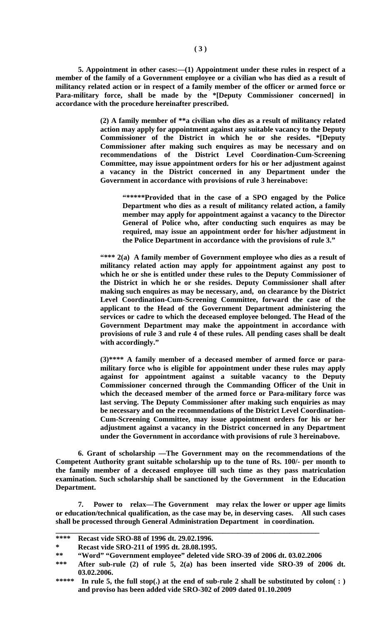**5. Appointment in other cases:—(1) Appointment under these rules in respect of a member of the family of a Government employee or a civilian who has died as a result of militancy related action or in respect of a family member of the officer or armed force or Para-military force, shall be made by the \*[Deputy Commissioner concerned] in accordance with the procedure hereinafter prescribed.** 

> **(2) A family member of \*\*a civilian who dies as a result of militancy related action may apply for appointment against any suitable vacancy to the Deputy Commissioner of the District in which he or she resides. \*[Deputy Commissioner after making such enquires as may be necessary and on recommendations of the District Level Coordination-Cum-Screening Committee, may issue appointment orders for his or her adjustment against a vacancy in the District concerned in any Department under the Government in accordance with provisions of rule 3 hereinabove:**

**"\*\*\*\*\*Provided that in the case of a SPO engaged by the Police Department who dies as a result of militancy related action, a family member may apply for appointment against a vacancy to the Director General of Police who, after conducting such enquires as may be required, may issue an appointment order for his/her adjustment in the Police Department in accordance with the provisions of rule 3."**

**"\*\*\* 2(a) A family member of Government employee who dies as a result of militancy related action may apply for appointment against any post to which he or she is entitled under these rules to the Deputy Commissioner of the District in which he or she resides. Deputy Commissioner shall after making such enquires as may be necessary, and, on clearance by the District Level Coordination-Cum-Screening Committee, forward the case of the applicant to the Head of the Government Department administering the services or cadre to which the deceased employee belonged. The Head of the Government Department may make the appointment in accordance with provisions of rule 3 and rule 4 of these rules. All pending cases shall be dealt with accordingly."** 

**(3)\*\*\*\* A family member of a deceased member of armed force or paramilitary force who is eligible for appointment under these rules may apply against for appointment against a suitable vacancy to the Deputy Commissioner concerned through the Commanding Officer of the Unit in which the deceased member of the armed force or Para-military force was last serving. The Deputy Commissioner after making such enquiries as may be necessary and on the recommendations of the District Level Coordination-Cum-Screening Committee, may issue appointment orders for his or her adjustment against a vacancy in the District concerned in any Department under the Government in accordance with provisions of rule 3 hereinabove.** 

**6. Grant of scholarship —The Government may on the recommendations of the Competent Authority grant suitable scholarship up to the tune of Rs. 100/- per month to the family member of a deceased employee till such time as they pass matriculation examination. Such scholarship shall be sanctioned by the Government in the Education Department.** 

**7. Power to relax—The Government may relax the lower or upper age limits or education/technical qualification, as the case may be, in deserving cases. All such cases shall be processed through General Administration Department in coordination.**

**\_\_\_\_\_\_\_\_\_\_\_\_\_\_\_\_\_\_\_\_\_\_\_\_\_\_\_\_\_\_\_\_\_\_\_\_\_\_\_\_\_\_\_\_\_\_\_\_\_\_\_\_\_\_\_\_\_\_\_\_\_\_\_\_\_\_\_\_\_\_\_** 

**<sup>\*\*\*\*</sup> Recast vide SRO-88 of 1996 dt. 29.02.1996.** 

**<sup>\*</sup> Recast vide SRO-211 of 1995 dt. 28.08.1995.** 

**<sup>\*\* &</sup>quot;Word" "Government employee" deleted vide SRO-39 of 2006 dt. 03.02.2006** 

After sub-rule  $(2)$  of rule  $5$ ,  $2(a)$  has been inserted vide SRO-39 of 2006 dt. **03.02.2006.** 

<sup>\*\*\*\*\*</sup> In rule 5, the full stop(.) at the end of sub-rule 2 shall be substituted by colon(:) **and proviso has been added vide SRO-302 of 2009 dated 01.10.2009**